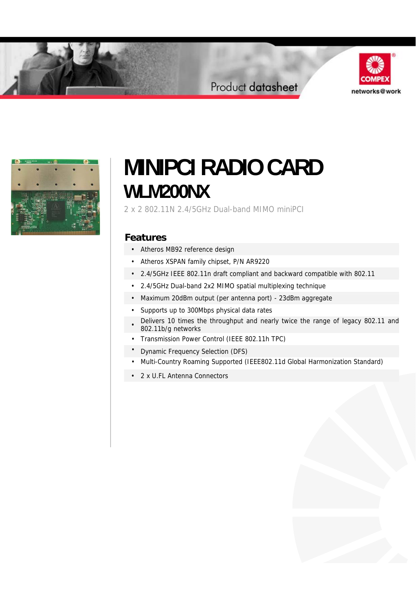## Product datasheet





# **MINIPCI RADIO CARD WLM200NX**

2 x 2 802.11N 2.4/5GHz Dual-band MIMO miniPCI

### **Features**

- Atheros MB92 reference design
- Atheros XSPAN family chipset, P/N AR9220
- 2.4/5GHz IEEE 802.11n draft compliant and backward compatible with 802.11
- 2.4/5GHz Dual-band 2x2 MIMO spatial multiplexing technique
- Maximum 20dBm output (per antenna port) 23dBm aggregate
- Supports up to 300Mbps physical data rates
- Delivers 10 times the throughput and nearly twice the range of legacy 802.11 and 802.11b/g networks
- Transmission Power Control (IEEE 802.11h TPC)
- Dynamic Frequency Selection (DFS)
- Multi-Country Roaming Supported (IEEE802.11d Global Harmonization Standard)
- 2 x U.FL Antenna Connectors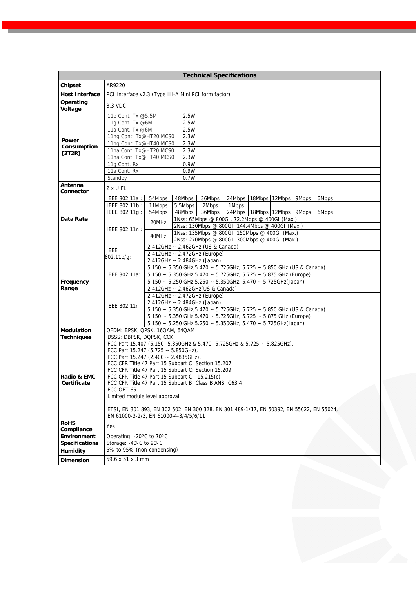|                                             |                                                                                          |                                                                               |        | <b>Technical Specifications</b>                                                           |                                  |  |  |  |       |  |  |
|---------------------------------------------|------------------------------------------------------------------------------------------|-------------------------------------------------------------------------------|--------|-------------------------------------------------------------------------------------------|----------------------------------|--|--|--|-------|--|--|
| <b>Chipset</b>                              | AR9220                                                                                   |                                                                               |        |                                                                                           |                                  |  |  |  |       |  |  |
| <b>Host Interface</b>                       | PCI Interface v2.3 (Type III-A Mini PCI form factor)                                     |                                                                               |        |                                                                                           |                                  |  |  |  |       |  |  |
| Operating<br>Voltage                        | 3.3 VDC                                                                                  |                                                                               |        |                                                                                           |                                  |  |  |  |       |  |  |
|                                             | 11b Cont. Tx @5.5M                                                                       |                                                                               | 2.5W   |                                                                                           |                                  |  |  |  |       |  |  |
|                                             | 11g Cont. Tx @6M                                                                         | 2.5W                                                                          |        |                                                                                           |                                  |  |  |  |       |  |  |
|                                             | 11a Cont. Tx @6M                                                                         |                                                                               | 2.5W   |                                                                                           |                                  |  |  |  |       |  |  |
| Power                                       | 11ng Cont. Tx@HT20 MCS0<br>11ng Cont. Tx@HT40 MCS0                                       | 2.3W                                                                          |        |                                                                                           |                                  |  |  |  |       |  |  |
| Consumption                                 | 11na Cont. Tx@HT20 MCS0                                                                  | 2.3W<br>2.3W                                                                  |        |                                                                                           |                                  |  |  |  |       |  |  |
| [2T2R]                                      | 11na Cont. Tx@HT40 MCS0                                                                  | 2.3W                                                                          |        |                                                                                           |                                  |  |  |  |       |  |  |
|                                             | 11g Cont. Rx                                                                             |                                                                               | 0.9W   |                                                                                           |                                  |  |  |  |       |  |  |
|                                             | 11a Cont. Rx                                                                             |                                                                               | 0.9W   |                                                                                           |                                  |  |  |  |       |  |  |
|                                             | Standby                                                                                  |                                                                               | 0.7W   |                                                                                           |                                  |  |  |  |       |  |  |
| Antenna                                     | 2 x U.FL                                                                                 |                                                                               |        |                                                                                           |                                  |  |  |  |       |  |  |
| Connector                                   |                                                                                          |                                                                               |        |                                                                                           |                                  |  |  |  |       |  |  |
|                                             | IEEE 802.11a :                                                                           | 54Mbps                                                                        | 48Mbps | 36Mbps                                                                                    | 24Mbps   18Mbps   12Mbps   9Mbps |  |  |  | 6Mbps |  |  |
|                                             | IEEE 802.11b:                                                                            | 11Mbps                                                                        |        | 5.5Mbps 2Mbps                                                                             | 1Mbps                            |  |  |  |       |  |  |
| Data Rate                                   | IEEE 802.11g:                                                                            | 54Mbps                                                                        |        | 48Mbps 36Mbps 24Mbps 18Mbps 12Mbps 9Mbps<br>1Nss: 65Mbps @ 800GI, 72.2Mbps @ 400GI (Max.) |                                  |  |  |  | 6Mbps |  |  |
|                                             |                                                                                          | 20MHz                                                                         |        | 2Nss: 130Mbps @ 800GI, 144.4Mbps @ 400GI (Max.)                                           |                                  |  |  |  |       |  |  |
|                                             | IEEE 802.11n :                                                                           |                                                                               |        | 1Nss: 135Mbps @ 800GI, 150Mbps @ 400GI (Max.)                                             |                                  |  |  |  |       |  |  |
|                                             |                                                                                          | 40MHz                                                                         |        | 2Nss: 270Mbps @ 800GI, 300Mbps @ 400GI (Max.)                                             |                                  |  |  |  |       |  |  |
|                                             |                                                                                          | 2.412GHz ~ 2.462GHz (US & Canada)                                             |        |                                                                                           |                                  |  |  |  |       |  |  |
|                                             | <b>IEEE</b><br>802.11b/g:                                                                | 2.412GHz ~ 2.472GHz (Europe)                                                  |        |                                                                                           |                                  |  |  |  |       |  |  |
|                                             |                                                                                          | 2.412GHz ~ 2.484GHz (Japan)                                                   |        |                                                                                           |                                  |  |  |  |       |  |  |
|                                             |                                                                                          | 5.150 ~ 5.350 GHz, 5.470 ~ 5.725 GHz, 5.725 ~ 5.850 GHz (US & Canada)         |        |                                                                                           |                                  |  |  |  |       |  |  |
|                                             | IEEE 802.11a:                                                                            | 5.150 ~ 5.350 GHz, 5.470 ~ 5.725GHz, 5.725 ~ 5.875 GHz (Europe)               |        |                                                                                           |                                  |  |  |  |       |  |  |
| Frequency                                   |                                                                                          | 5.150 ~ 5.250 GHz, 5.250 ~ 5.350GHz, 5.470 ~ 5.725GHz(Japan)                  |        |                                                                                           |                                  |  |  |  |       |  |  |
| Range                                       |                                                                                          | 2.412GHz ~ 2.462GHz(US & Canada)                                              |        |                                                                                           |                                  |  |  |  |       |  |  |
|                                             |                                                                                          | 2.412GHz ~ 2.472GHz (Europe)<br>2.412GHz ~ 2.484GHz (Japan)                   |        |                                                                                           |                                  |  |  |  |       |  |  |
|                                             | IEEE 802.11n                                                                             | 5.150 ~ 5.350 GHz, 5.470 ~ 5.725 GHz, 5.725 ~ 5.850 GHz (US & Canada)         |        |                                                                                           |                                  |  |  |  |       |  |  |
|                                             |                                                                                          | 5.150 ~ 5.350 GHz, 5.470 ~ 5.725GHz, 5.725 ~ 5.875 GHz (Europe)               |        |                                                                                           |                                  |  |  |  |       |  |  |
|                                             |                                                                                          | $5.150 \sim 5.250$ GHz, $5.250 \sim 5.350$ GHz, $5.470 \sim 5.725$ GHz(Japan) |        |                                                                                           |                                  |  |  |  |       |  |  |
| Modulation                                  | OFDM: BPSK, QPSK, 16QAM, 64QAM                                                           |                                                                               |        |                                                                                           |                                  |  |  |  |       |  |  |
| <b>Techniques</b>                           | DSSS: DBPSK, DQPSK, CCK                                                                  |                                                                               |        |                                                                                           |                                  |  |  |  |       |  |  |
|                                             | FCC Part 15.407 (5.150--5.350GHz & 5.470--5.725GHz & 5.725 ~ 5.825GHz),                  |                                                                               |        |                                                                                           |                                  |  |  |  |       |  |  |
|                                             | FCC Part 15.247 (5.725 $\sim$ 5.850GHz),<br>FCC Part 15.247 (2.400 ~ 2.4835GHz),         |                                                                               |        |                                                                                           |                                  |  |  |  |       |  |  |
|                                             | FCC CFR Title 47 Part 15 Subpart C: Section 15.207                                       |                                                                               |        |                                                                                           |                                  |  |  |  |       |  |  |
|                                             | FCC CFR Title 47 Part 15 Subpart C: Section 15.209                                       |                                                                               |        |                                                                                           |                                  |  |  |  |       |  |  |
| Radio & EMC                                 | FCC CFR Title 47 Part 15 Subpart C: 15.215(c)                                            |                                                                               |        |                                                                                           |                                  |  |  |  |       |  |  |
| Certificate                                 | FCC CFR Title 47 Part 15 Subpart B: Class B ANSI C63.4                                   |                                                                               |        |                                                                                           |                                  |  |  |  |       |  |  |
|                                             |                                                                                          | FCC OET 65<br>Limited module level approval.                                  |        |                                                                                           |                                  |  |  |  |       |  |  |
|                                             |                                                                                          |                                                                               |        |                                                                                           |                                  |  |  |  |       |  |  |
|                                             | ETSI, EN 301 893, EN 302 502, EN 300 328, EN 301 489-1/17, EN 50392, EN 55022, EN 55024, |                                                                               |        |                                                                                           |                                  |  |  |  |       |  |  |
|                                             | EN 61000-3-2/3, EN 61000-4-3/4/5/6/11                                                    |                                                                               |        |                                                                                           |                                  |  |  |  |       |  |  |
| <b>RoHS</b>                                 | Yes                                                                                      |                                                                               |        |                                                                                           |                                  |  |  |  |       |  |  |
| Compliance                                  |                                                                                          |                                                                               |        |                                                                                           |                                  |  |  |  |       |  |  |
| <b>Environment</b><br><b>Specifications</b> | Operating: -20°C to 70°C<br>Storage: -40°C to 90°C                                       |                                                                               |        |                                                                                           |                                  |  |  |  |       |  |  |
|                                             | 5% to 95% (non-condensing)                                                               |                                                                               |        |                                                                                           |                                  |  |  |  |       |  |  |
| Humidity                                    |                                                                                          |                                                                               |        |                                                                                           |                                  |  |  |  |       |  |  |
| <b>Dimension</b>                            | 59.6 x 51 x 3 mm                                                                         |                                                                               |        |                                                                                           |                                  |  |  |  |       |  |  |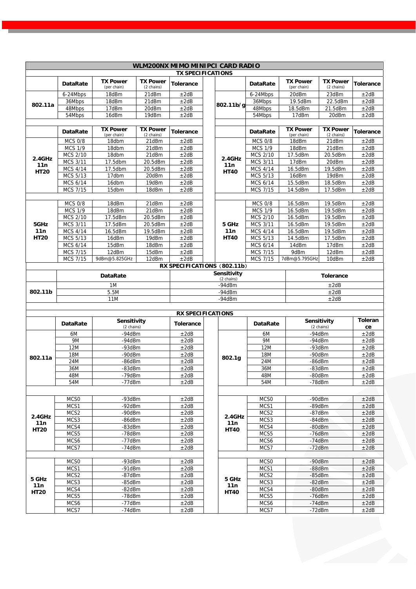|             | WLM200NX MIMO MINIPCI CARD RADIO |                                |                               |                             |  |             |                  |                                |                               |                      |
|-------------|----------------------------------|--------------------------------|-------------------------------|-----------------------------|--|-------------|------------------|--------------------------------|-------------------------------|----------------------|
|             |                                  |                                |                               | <b>TX SPECIFICATIONS</b>    |  |             |                  |                                |                               |                      |
|             | <b>DataRate</b>                  | <b>TX Power</b><br>(per chain) | <b>TX Power</b><br>(2 chains) | <b>Tolerance</b>            |  |             | <b>DataRate</b>  | <b>TX Power</b><br>(per chain) | <b>TX Power</b><br>(2 chains) | <b>Tolerance</b>     |
|             | 6-24Mbps                         | 18dBm                          | 21dBm                         | ±2dB                        |  |             | 6-24Mbps         | 20dBm                          | 23dBm                         | ±2dB                 |
| 802.11a     | 36Mbps                           | 18dBm                          | 21dBm                         | ±2dB                        |  | 802.11b/g   | 36Mbps           | 19.5dBm                        | 22.5dBm                       | ±2dB                 |
|             | 48Mbps                           | 17dBm                          | 20dBm                         | ±2dB                        |  |             | 48Mbps           | 18.5dBm                        | 21.5dBm                       | ±2dB                 |
|             | 54Mbps                           | 16dBm                          | 19dBm                         | ±2dB                        |  |             | 54Mbps           | 17dBm                          | 20dBm                         | ±2dB                 |
|             |                                  |                                |                               |                             |  |             |                  |                                |                               |                      |
|             | <b>DataRate</b>                  | <b>TX Power</b><br>(per chain) | <b>TX Power</b><br>(2 chains) | Tolerance                   |  |             | <b>DataRate</b>  | <b>TX Power</b><br>(per chain) | <b>TX Power</b><br>(2 chains) | <b>Tolerance</b>     |
|             | <b>MCS 0/8</b>                   | 18dbm                          | 21dBm                         | ±2dB                        |  |             | <b>MCS 0/8</b>   | 18dBm                          | 21dBm                         | ±2dB                 |
|             | <b>MCS 1/9</b>                   | 18dbm                          | 21dBm                         | ±2dB                        |  |             | <b>MCS 1/9</b>   | 18dBm                          | 21dBm                         | ±2dB                 |
| 2.4GHz      | <b>MCS 2/10</b>                  | 18dbm                          | 21dBm                         | ±2dB                        |  | 2.4GHz      | <b>MCS 2/10</b>  | 17.5dBm                        | 20.5dBm                       | ±2dB                 |
| 11n         | MCS 3/11                         | 17.5dbm                        | 20.5dBm                       | ±2dB                        |  | 11n         | <b>MCS 3/11</b>  | 17dBm                          | 20dBm                         | ±2dB                 |
| <b>HT20</b> | MCS 4/14                         | 17.5dbm                        | 20.5dBm                       | ±2dB                        |  | <b>HT40</b> | MCS 4/14         | 16.5dBm                        | 19.5dBm                       | ±2dB                 |
|             | MCS 5/13                         | 17dbm                          | 20dBm                         | ±2dB                        |  |             | <b>MCS 5/13</b>  | 16dBm                          | 19dBm                         | ±2dB                 |
|             | MCS 6/14                         | 16dbm                          | 19dBm                         | ±2dB                        |  |             | MCS 6/14         | 15.5dBm                        | 18.5dBm                       | ±2dB                 |
|             | <b>MCS 7/15</b>                  | 15dbm                          | 18dBm                         | ±2dB                        |  |             | MCS 7/15         | 14.5dBm                        | 17.5dBm                       | ±2dB                 |
|             |                                  |                                |                               |                             |  |             |                  |                                |                               |                      |
|             | <b>MCS 0/8</b>                   | 18dBm                          | 21dBm                         | ±2dB                        |  |             | <b>MCS 0/8</b>   | 16.5dBm                        | 19.5dBm                       | ±2dB                 |
|             | <b>MCS 1/9</b>                   | 18dBm                          | 21dBm                         | ±2dB                        |  |             | <b>MCS 1/9</b>   | 16.5dBm                        | 19.5dBm                       | ±2dB                 |
|             | <b>MCS 2/10</b>                  | 17.5dBm                        | 20.5dBm                       | ±2dB                        |  |             | <b>MCS 2/10</b>  | 16.5dBm                        | 19.5dBm                       | ±2dB                 |
| 5GHz        | MCS 3/11                         | 17.5dBm                        | 20.5dBm                       | ±2dB                        |  | 5 GHz       | MCS 3/11         | 16.5dBm                        | 19.5dBm                       | ±2dB                 |
| 11n         | MCS 4/14                         | 16.5dBm                        | 19.5dBm                       | ±2dB                        |  | 11n         | MCS 4/14         | 16.5dBm                        | 19.5dBm                       | ±2dB                 |
| <b>HT20</b> | MCS 5/13                         | 16dBm                          | 19dBm                         | ±2dB                        |  | <b>HT40</b> | <b>MCS 5/13</b>  | 14.5dBm                        | 17.5dBm                       | ±2dB                 |
|             | MCS 6/14                         | 15dBm                          | 18dBm                         | ±2dB                        |  |             | MCS 6/14         | 14dBm                          | 17dBm                         | ±2dB                 |
|             | <b>MCS 7/15</b>                  | 12dBm                          | 15dBm                         | ±2dB                        |  |             | MCS 7/15         | 9dBm                           | 12dBm                         | ±2dB                 |
|             | <b>MCS 7/15</b>                  | 9dBm@5.825GHz                  | 12dBm                         | ±2dB                        |  |             | <b>MCS 7/15</b>  | 7dBm@5.795GHz                  | 10dBm                         | ±2dB                 |
|             |                                  |                                |                               | RX SPECIFICATIONS (802.11b) |  |             |                  |                                |                               |                      |
|             |                                  | <b>DataRate</b>                |                               | Sensitivity<br>(2 chains)   |  |             | <b>Tolerance</b> |                                |                               |                      |
|             | 1M                               |                                |                               | $-94dBm$                    |  |             |                  |                                | ±2dB                          |                      |
| 802.11b     | 5.5M                             |                                |                               |                             |  | -94dBm      |                  |                                | ±2dB                          |                      |
|             |                                  | <b>11M</b>                     |                               |                             |  | $-94dBm$    |                  |                                | ±2dB                          |                      |
|             |                                  |                                |                               |                             |  |             |                  |                                |                               |                      |
|             |                                  |                                |                               | <b>RX SPECIFICATIONS</b>    |  |             |                  |                                |                               |                      |
|             | <b>DataRate</b>                  | Sensitivity<br>(2 chains)      |                               | <b>Tolerance</b>            |  |             | DataRate         |                                | Sensitivity<br>(2 chains)     | <b>Toleran</b><br>ce |
|             | 6M                               | $-94dBm$                       |                               | ±2dB                        |  |             | 6M               | $-94dBm$                       |                               | ±2dB                 |
|             | 9M                               | $-94dBm$                       |                               | ±2dB                        |  | 9M          |                  | $-94dBm$                       | ±2dB                          |                      |
|             | <b>12M</b>                       | $-93dBm$                       |                               | ±2dB                        |  |             | <b>12M</b>       |                                | -93dBm                        |                      |
|             | <b>18M</b>                       | -90dBm                         |                               | ±2dB                        |  |             | <b>18M</b>       |                                | -90dBm                        |                      |
| 802.11a     | 24M                              | $-86dBm$                       |                               | ±2dB                        |  | 802.1g      | 24M              |                                | $-86dBm$                      |                      |
|             | 36M                              | -83dBm                         |                               | ±2dB                        |  |             | 36M              | -83dBm                         |                               | ±2dB<br>±2dB         |
|             | 48M                              | -79dBm                         |                               | ±2dB                        |  |             | 48M              |                                | -80dBm                        |                      |
|             | 54M                              | $-77$ d $Bm$                   |                               | ±2dB                        |  |             | 54M              | $-78$ d $Bm$                   |                               | ±2dB<br>±2dB         |
|             |                                  |                                |                               |                             |  |             |                  |                                |                               |                      |
|             | MCS <sub>0</sub>                 | -93dBm                         |                               | ±2dB                        |  |             | MCS <sub>0</sub> |                                | -90dBm                        | ±2dB                 |
|             | MCS1                             | $-92$ d $Bm$                   |                               | ±2dB                        |  |             | MCS1             |                                |                               | ±2dB                 |
|             | MCS <sub>2</sub>                 | -90dBm                         |                               | ±2dB                        |  |             | MCS <sub>2</sub> | -89dBm<br>-87dBm               |                               | ±2dB                 |
| 2.4GHz      | MCS3                             | $-86$ d $Bm$                   |                               | ±2dB                        |  | $2.4$ GHz   | MCS3             | $-84dBm$                       |                               | ±2dB                 |
| 11n         | MCS4                             | $-83dBm$                       |                               | ±2dB                        |  | 11n         | MCS4             |                                |                               | ±2dB                 |
| <b>HT20</b> | MCS5                             | -78dBm                         |                               | ±2dB                        |  | <b>HT40</b> | MCS5             |                                | $-80$ d $Bm$<br>-76dBm        |                      |
|             | MCS6                             | $-77$ d $Bm$                   |                               | ±2dB                        |  |             | MCS6             |                                | $-74dBm$                      |                      |
|             | MCS7                             | $-74dBm$                       |                               | ±2dB                        |  |             | MCS7             |                                |                               | ±2dB<br>±2dB         |
| $-72dBm$    |                                  |                                |                               |                             |  |             |                  |                                |                               |                      |
|             | MCS0                             | -93dBm                         |                               | ±2dB                        |  |             | MCS <sub>0</sub> |                                |                               | ±2dB                 |
|             | MCS1                             | $-91dBm$                       |                               | ±2dB                        |  |             | MCS1             | -90dBm<br>-88dBm               |                               | ±2dB                 |
|             | MCS2                             | $-87dBm$                       |                               | ±2dB                        |  |             | MCS2             | $-85dBm$                       |                               | ±2dB                 |
| 5 GHz       | MCS3                             | $-85$ d $Bm$                   |                               | ±2dB                        |  | 5 GHz       | MCS3             |                                | $-82dBm$                      | ±2dB                 |
| 11n         | MCS4                             | -82dBm                         |                               | ±2dB                        |  | 11n         | MCS4             |                                | -80dBm                        | ±2dB                 |
| <b>HT20</b> | MCS5                             |                                |                               | ±2dB                        |  | <b>HT40</b> | MCS5             |                                | $-76$ d $Bm$                  | ±2dB                 |
|             | MCS6                             | -78dBm<br>$-77$ d $Bm$         |                               | ±2dB                        |  |             | MCS6             |                                | $-74dBm$                      | ±2dB                 |
|             | MCS7                             | $-74dBm$                       |                               | ±2dB                        |  |             | MCS7             |                                | $-72$ d $Bm$                  | ±2dB                 |
|             |                                  |                                |                               |                             |  |             |                  |                                |                               |                      |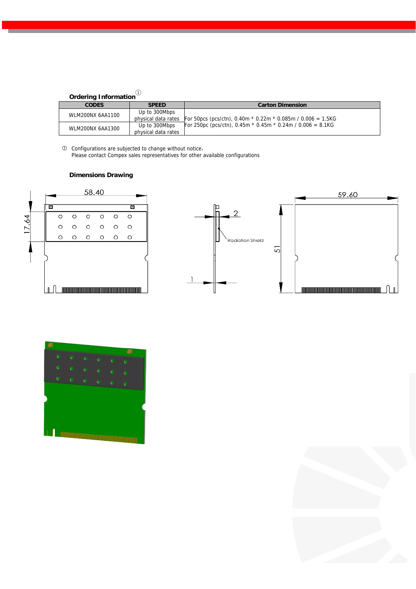| <b>Ordering Information</b> |
|-----------------------------|

| oracinig mornianon |                     |                                                                 |
|--------------------|---------------------|-----------------------------------------------------------------|
| <b>CODES</b>       | <b>SPEED</b>        | <b>Carton Dimension</b>                                         |
| WLM200NX 6AA1100   | Up to 300Mbps       |                                                                 |
|                    | physical data rates | For 50pcs (pcs/ctn), 0.40m $*$ 0.22m $*$ 0.085m / 0.006 = 1.5KG |
| WLM200NX 6AA1300   | Up to 300Mbps       | For 250pc (pcs/ctn), 0.45m $*$ 0.45m $*$ 0.24m / 0.006 = 8.1KG  |
|                    | physical data rates |                                                                 |

 Configurations are subjected to change without notice, Please contact Compex sales representatives for other available configurations

#### **Dimensions Drawing**